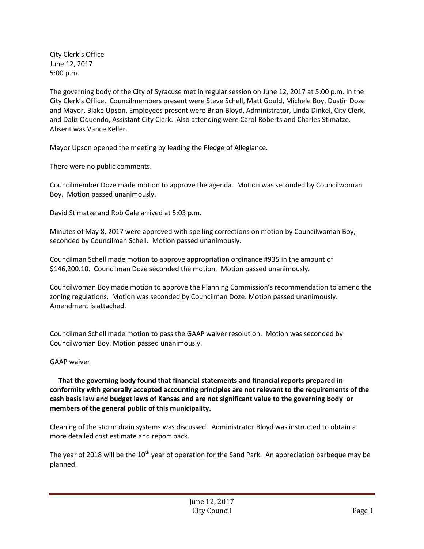City Clerk's Office June 12, 2017 5:00 p.m.

The governing body of the City of Syracuse met in regular session on June 12, 2017 at 5:00 p.m. in the City Clerk's Office. Councilmembers present were Steve Schell, Matt Gould, Michele Boy, Dustin Doze and Mayor, Blake Upson. Employees present were Brian Bloyd, Administrator, Linda Dinkel, City Clerk, and Daliz Oquendo, Assistant City Clerk. Also attending were Carol Roberts and Charles Stimatze. Absent was Vance Keller.

Mayor Upson opened the meeting by leading the Pledge of Allegiance.

There were no public comments.

Councilmember Doze made motion to approve the agenda. Motion was seconded by Councilwoman Boy. Motion passed unanimously.

David Stimatze and Rob Gale arrived at 5:03 p.m.

Minutes of May 8, 2017 were approved with spelling corrections on motion by Councilwoman Boy, seconded by Councilman Schell. Motion passed unanimously.

Councilman Schell made motion to approve appropriation ordinance #935 in the amount of \$146,200.10. Councilman Doze seconded the motion. Motion passed unanimously.

Councilwoman Boy made motion to approve the Planning Commission's recommendation to amend the zoning regulations. Motion was seconded by Councilman Doze. Motion passed unanimously. Amendment is attached.

Councilman Schell made motion to pass the GAAP waiver resolution. Motion was seconded by Councilwoman Boy. Motion passed unanimously.

## GAAP waiver

 **That the governing body found that financial statements and financial reports prepared in conformity with generally accepted accounting principles are not relevant to the requirements of the cash basis law and budget laws of Kansas and are not significant value to the governing body or members of the general public of this municipality.**

Cleaning of the storm drain systems was discussed. Administrator Bloyd was instructed to obtain a more detailed cost estimate and report back.

The year of 2018 will be the  $10<sup>th</sup>$  year of operation for the Sand Park. An appreciation barbeque may be planned.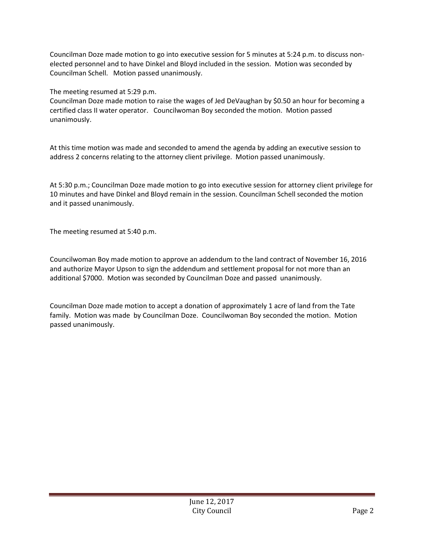Councilman Doze made motion to go into executive session for 5 minutes at 5:24 p.m. to discuss nonelected personnel and to have Dinkel and Bloyd included in the session. Motion was seconded by Councilman Schell. Motion passed unanimously.

The meeting resumed at 5:29 p.m.

Councilman Doze made motion to raise the wages of Jed DeVaughan by \$0.50 an hour for becoming a certified class II water operator. Councilwoman Boy seconded the motion. Motion passed unanimously.

At this time motion was made and seconded to amend the agenda by adding an executive session to address 2 concerns relating to the attorney client privilege. Motion passed unanimously.

At 5:30 p.m.; Councilman Doze made motion to go into executive session for attorney client privilege for 10 minutes and have Dinkel and Bloyd remain in the session. Councilman Schell seconded the motion and it passed unanimously.

The meeting resumed at 5:40 p.m.

Councilwoman Boy made motion to approve an addendum to the land contract of November 16, 2016 and authorize Mayor Upson to sign the addendum and settlement proposal for not more than an additional \$7000. Motion was seconded by Councilman Doze and passed unanimously.

Councilman Doze made motion to accept a donation of approximately 1 acre of land from the Tate family. Motion was made by Councilman Doze. Councilwoman Boy seconded the motion. Motion passed unanimously.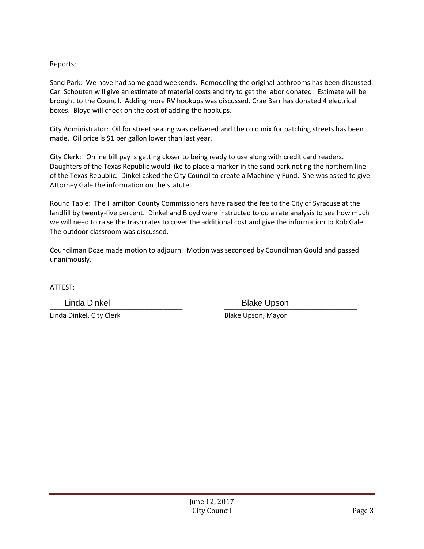## Reports:

Sand Park: We have had some good weekends. Remodeling the original bathrooms has been discussed. Carl Schouten will give an estimate of material costs and try to get the labor donated. Estimate will be brought to the Council. Adding more RV hookups was discussed. Crae Barr has donated 4 electrical boxes. Bloyd will check on the cost of adding the hookups.

City Administrator: Oil for street sealing was delivered and the cold mix for patching streets has been made. Oil price is \$1 per gallon lower than last year.

City Clerk: Online bill pay is getting closer to being ready to use along with credit card readers. Daughters of the Texas Republic would like to place a marker in the sand park noting the northern line of the Texas Republic. Dinkel asked the City Council to create a Machinery Fund. She was asked to give Attorney Gale the information on the statute.

Round Table: The Hamilton County Commissioners have raised the fee to the City of Syracuse at the landfill by twenty-five percent. Dinkel and Bloyd were instructed to do a rate analysis to see how much we will need to raise the trash rates to cover the additional cost and give the information to Rob Gale. The outdoor classroom was discussed.

Councilman Doze made motion to adjourn. Motion was seconded by Councilman Gould and passed unanimously.

ATTEST:

Linda Dinkel, City Clerk Blake Upson, Mayor

\_\_\_\_\_\_\_\_\_\_\_\_\_\_\_\_\_\_\_\_\_\_\_\_\_\_\_\_\_\_\_\_\_\_\_ \_\_\_\_\_\_\_\_\_\_\_\_\_\_\_\_\_\_\_\_\_\_\_\_\_\_\_\_\_\_\_\_\_\_\_ Linda Dinkel **Blake Upson**